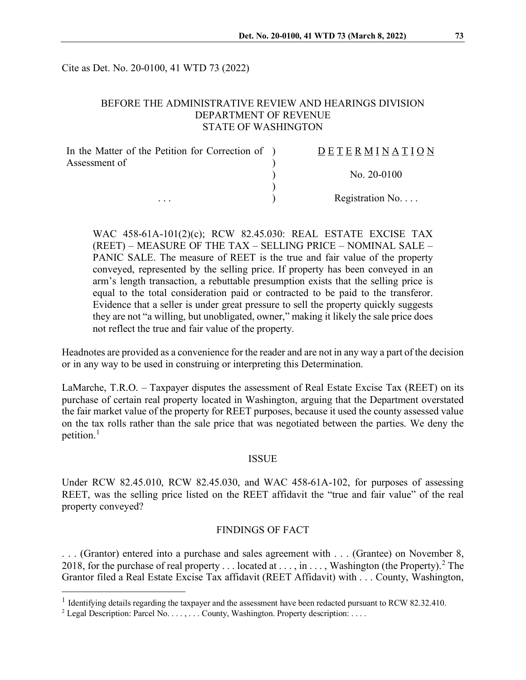Cite as Det. No. 20-0100, 41 WTD 73 (2022)

## BEFORE THE ADMINISTRATIVE REVIEW AND HEARINGS DIVISION DEPARTMENT OF REVENUE STATE OF WASHINGTON

| In the Matter of the Petition for Correction of ) | DETERMINATION   |
|---------------------------------------------------|-----------------|
| Assessment of                                     |                 |
|                                                   | No. $20-0100$   |
|                                                   |                 |
| $\cdots$                                          | Registration No |

WAC 458-61A-101(2)(c); RCW 82.45.030: REAL ESTATE EXCISE TAX (REET) – MEASURE OF THE TAX – SELLING PRICE – NOMINAL SALE – PANIC SALE. The measure of REET is the true and fair value of the property conveyed, represented by the selling price. If property has been conveyed in an arm's length transaction, a rebuttable presumption exists that the selling price is equal to the total consideration paid or contracted to be paid to the transferor. Evidence that a seller is under great pressure to sell the property quickly suggests they are not "a willing, but unobligated, owner," making it likely the sale price does not reflect the true and fair value of the property.

Headnotes are provided as a convenience for the reader and are not in any way a part of the decision or in any way to be used in construing or interpreting this Determination.

LaMarche, T.R.O. – Taxpayer disputes the assessment of Real Estate Excise Tax (REET) on its purchase of certain real property located in Washington, arguing that the Department overstated the fair market value of the property for REET purposes, because it used the county assessed value on the tax rolls rather than the sale price that was negotiated between the parties. We deny the petition.<sup>[1](#page-0-0)</sup>

#### ISSUE

Under RCW 82.45.010, RCW 82.45.030, and WAC 458-61A-102, for purposes of assessing REET, was the selling price listed on the REET affidavit the "true and fair value" of the real property conveyed?

## FINDINGS OF FACT

. . . (Grantor) entered into a purchase and sales agreement with . . . (Grantee) on November 8, [2](#page-0-1)018, for the purchase of real property . . . located at . . . , in . . . , Washington (the Property).<sup>2</sup> The Grantor filed a Real Estate Excise Tax affidavit (REET Affidavit) with . . . County, Washington,

<span id="page-0-0"></span><sup>&</sup>lt;sup>1</sup> Identifying details regarding the taxpayer and the assessment have been redacted pursuant to RCW 82.32.410.

<span id="page-0-1"></span><sup>&</sup>lt;sup>2</sup> Legal Description: Parcel No. . . . , . . . County, Washington. Property description: . . . .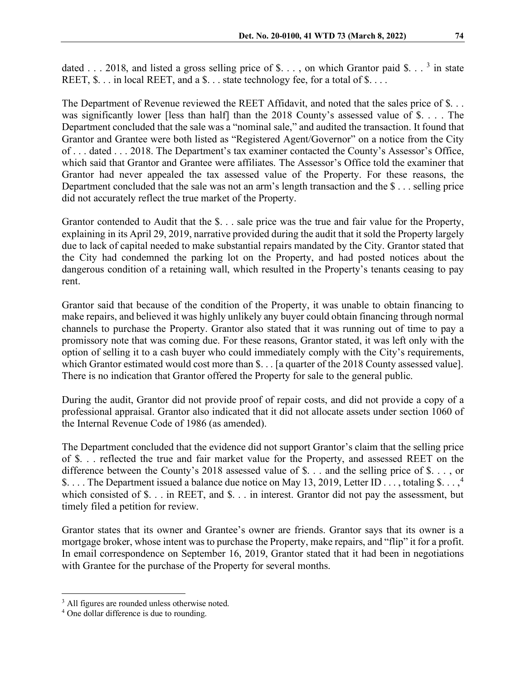dated . . . 2018, and listed a gross selling price of \$. . . , on which Grantor paid \$. . . <sup>[3](#page-1-0)</sup> in state REET,  $\$ . . . in local REET, and a  $\)$ . . . state technology fee, for a total of  $\)$ ...

The Department of Revenue reviewed the REET Affidavit, and noted that the sales price of \$... was significantly lower [less than half] than the 2018 County's assessed value of \$. . . . The Department concluded that the sale was a "nominal sale," and audited the transaction. It found that Grantor and Grantee were both listed as "Registered Agent/Governor" on a notice from the City of . . . dated . . . 2018. The Department's tax examiner contacted the County's Assessor's Office, which said that Grantor and Grantee were affiliates. The Assessor's Office told the examiner that Grantor had never appealed the tax assessed value of the Property. For these reasons, the Department concluded that the sale was not an arm's length transaction and the  $\$\dots$  selling price did not accurately reflect the true market of the Property.

Grantor contended to Audit that the \$. . . sale price was the true and fair value for the Property, explaining in its April 29, 2019, narrative provided during the audit that it sold the Property largely due to lack of capital needed to make substantial repairs mandated by the City. Grantor stated that the City had condemned the parking lot on the Property, and had posted notices about the dangerous condition of a retaining wall, which resulted in the Property's tenants ceasing to pay rent.

Grantor said that because of the condition of the Property, it was unable to obtain financing to make repairs, and believed it was highly unlikely any buyer could obtain financing through normal channels to purchase the Property. Grantor also stated that it was running out of time to pay a promissory note that was coming due. For these reasons, Grantor stated, it was left only with the option of selling it to a cash buyer who could immediately comply with the City's requirements, which Grantor estimated would cost more than \$... [a quarter of the 2018 County assessed value]. There is no indication that Grantor offered the Property for sale to the general public.

During the audit, Grantor did not provide proof of repair costs, and did not provide a copy of a professional appraisal. Grantor also indicated that it did not allocate assets under section 1060 of the Internal Revenue Code of 1986 (as amended).

The Department concluded that the evidence did not support Grantor's claim that the selling price of \$. . . reflected the true and fair market value for the Property, and assessed REET on the difference between the County's 2018 assessed value of \$. . . and the selling price of \$. . . , or \$.... The Department issued a balance due notice on May 13, 2019, Letter ID ..., totaling \$...,<sup>[4](#page-1-1)</sup> which consisted of \$. . . in REET, and \$. . . in interest. Grantor did not pay the assessment, but timely filed a petition for review.

Grantor states that its owner and Grantee's owner are friends. Grantor says that its owner is a mortgage broker, whose intent was to purchase the Property, make repairs, and "flip" it for a profit. In email correspondence on September 16, 2019, Grantor stated that it had been in negotiations with Grantee for the purchase of the Property for several months.

<span id="page-1-0"></span><sup>&</sup>lt;sup>3</sup> All figures are rounded unless otherwise noted.

<span id="page-1-1"></span><sup>4</sup> One dollar difference is due to rounding.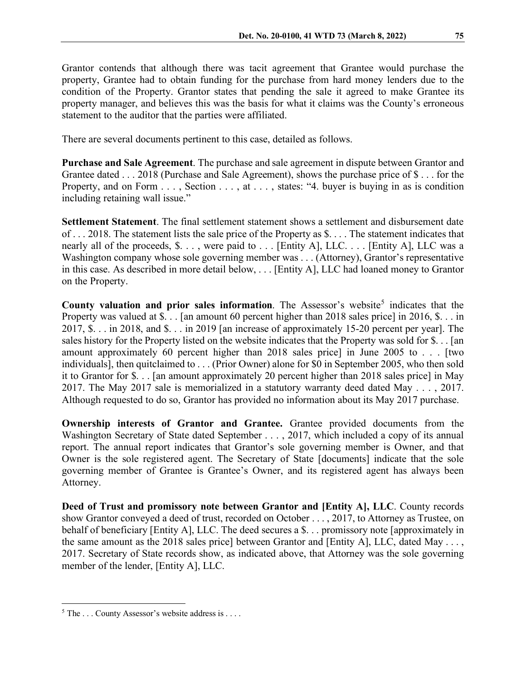Grantor contends that although there was tacit agreement that Grantee would purchase the property, Grantee had to obtain funding for the purchase from hard money lenders due to the condition of the Property. Grantor states that pending the sale it agreed to make Grantee its property manager, and believes this was the basis for what it claims was the County's erroneous statement to the auditor that the parties were affiliated.

There are several documents pertinent to this case, detailed as follows.

**Purchase and Sale Agreement**. The purchase and sale agreement in dispute between Grantor and Grantee dated . . . 2018 (Purchase and Sale Agreement), shows the purchase price of \$ . . . for the Property, and on Form . . . , Section . . . , at . . . , states: "4. buyer is buying in as is condition including retaining wall issue."

**Settlement Statement**. The final settlement statement shows a settlement and disbursement date of . . . 2018. The statement lists the sale price of the Property as \$. . . . The statement indicates that nearly all of the proceeds, \$. . . , were paid to . . . [Entity A], LLC. . . . [Entity A], LLC was a Washington company whose sole governing member was . . . (Attorney), Grantor's representative in this case. As described in more detail below, . . . [Entity A], LLC had loaned money to Grantor on the Property.

**County valuation and prior sales information**. The Assessor's website<sup>[5](#page-2-0)</sup> indicates that the Property was valued at \$. . . [an amount 60 percent higher than 2018 sales price] in 2016, \$. . . in 2017, \$. . . in 2018, and \$. . . in 2019 [an increase of approximately 15-20 percent per year]. The sales history for the Property listed on the website indicates that the Property was sold for \$. . . [an amount approximately 60 percent higher than 2018 sales price] in June 2005 to . . . [two individuals], then quitclaimed to . . . (Prior Owner) alone for \$0 in September 2005, who then sold it to Grantor for \$. . . [an amount approximately 20 percent higher than 2018 sales price] in May 2017. The May 2017 sale is memorialized in a statutory warranty deed dated May . . . , 2017. Although requested to do so, Grantor has provided no information about its May 2017 purchase.

**Ownership interests of Grantor and Grantee.** Grantee provided documents from the Washington Secretary of State dated September . . . , 2017, which included a copy of its annual report. The annual report indicates that Grantor's sole governing member is Owner, and that Owner is the sole registered agent. The Secretary of State [documents] indicate that the sole governing member of Grantee is Grantee's Owner, and its registered agent has always been Attorney.

**Deed of Trust and promissory note between Grantor and [Entity A], LLC**. County records show Grantor conveyed a deed of trust, recorded on October . . . , 2017, to Attorney as Trustee, on behalf of beneficiary [Entity A], LLC. The deed secures a \$. . . promissory note [approximately in the same amount as the 2018 sales price] between Grantor and [Entity A], LLC, dated May . . . , 2017. Secretary of State records show, as indicated above, that Attorney was the sole governing member of the lender, [Entity A], LLC.

<span id="page-2-0"></span> $5$  The ... County Assessor's website address is ....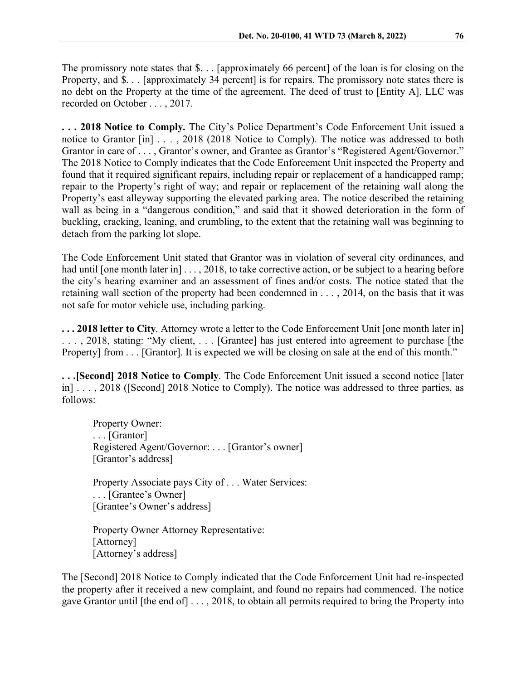The promissory note states that \$. . . [approximately 66 percent] of the loan is for closing on the Property, and \$. . . [approximately 34 percent] is for repairs. The promissory note states there is no debt on the Property at the time of the agreement. The deed of trust to [Entity A], LLC was recorded on October . . . , 2017.

**. . . 2018 Notice to Comply.** The City's Police Department's Code Enforcement Unit issued a notice to Grantor [in] . . . , 2018 (2018 Notice to Comply). The notice was addressed to both Grantor in care of . . . , Grantor's owner, and Grantee as Grantor's "Registered Agent/Governor." The 2018 Notice to Comply indicates that the Code Enforcement Unit inspected the Property and found that it required significant repairs, including repair or replacement of a handicapped ramp; repair to the Property's right of way; and repair or replacement of the retaining wall along the Property's east alleyway supporting the elevated parking area. The notice described the retaining wall as being in a "dangerous condition," and said that it showed deterioration in the form of buckling, cracking, leaning, and crumbling, to the extent that the retaining wall was beginning to detach from the parking lot slope.

The Code Enforcement Unit stated that Grantor was in violation of several city ordinances, and had until [one month later in] . . . , 2018, to take corrective action, or be subject to a hearing before the city's hearing examiner and an assessment of fines and/or costs. The notice stated that the retaining wall section of the property had been condemned in . . . , 2014, on the basis that it was not safe for motor vehicle use, including parking.

**. . . 2018 letter to City**. Attorney wrote a letter to the Code Enforcement Unit [one month later in] . . . , 2018, stating: "My client, . . . [Grantee] has just entered into agreement to purchase [the Property] from . . . [Grantor]. It is expected we will be closing on sale at the end of this month."

**. . .[Second] 2018 Notice to Comply**. The Code Enforcement Unit issued a second notice [later in] . . . , 2018 ([Second] 2018 Notice to Comply). The notice was addressed to three parties, as follows:

Property Owner: . . . [Grantor] Registered Agent/Governor: . . . [Grantor's owner] [Grantor's address]

Property Associate pays City of . . . Water Services: . . . [Grantee's Owner] [Grantee's Owner's address]

Property Owner Attorney Representative: [Attorney] [Attorney's address]

The [Second] 2018 Notice to Comply indicated that the Code Enforcement Unit had re-inspected the property after it received a new complaint, and found no repairs had commenced. The notice gave Grantor until [the end of] . . . , 2018, to obtain all permits required to bring the Property into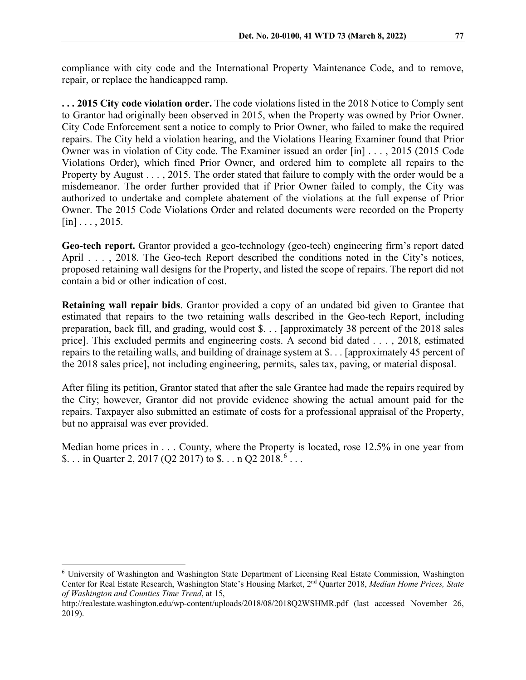compliance with city code and the International Property Maintenance Code, and to remove, repair, or replace the handicapped ramp.

**. . . 2015 City code violation order.** The code violations listed in the 2018 Notice to Comply sent to Grantor had originally been observed in 2015, when the Property was owned by Prior Owner. City Code Enforcement sent a notice to comply to Prior Owner, who failed to make the required repairs. The City held a violation hearing, and the Violations Hearing Examiner found that Prior Owner was in violation of City code. The Examiner issued an order [in] . . . , 2015 (2015 Code Violations Order), which fined Prior Owner, and ordered him to complete all repairs to the Property by August . . . , 2015. The order stated that failure to comply with the order would be a misdemeanor. The order further provided that if Prior Owner failed to comply, the City was authorized to undertake and complete abatement of the violations at the full expense of Prior Owner. The 2015 Code Violations Order and related documents were recorded on the Property  $\lceil \text{in} \rceil$ ..., 2015.

**Geo-tech report.** Grantor provided a geo-technology (geo-tech) engineering firm's report dated April . . . , 2018. The Geo-tech Report described the conditions noted in the City's notices, proposed retaining wall designs for the Property, and listed the scope of repairs. The report did not contain a bid or other indication of cost.

**Retaining wall repair bids**. Grantor provided a copy of an undated bid given to Grantee that estimated that repairs to the two retaining walls described in the Geo-tech Report, including preparation, back fill, and grading, would cost \$. . . [approximately 38 percent of the 2018 sales price]. This excluded permits and engineering costs. A second bid dated . . . , 2018, estimated repairs to the retailing walls, and building of drainage system at \$. . . [approximately 45 percent of the 2018 sales price], not including engineering, permits, sales tax, paving, or material disposal.

After filing its petition, Grantor stated that after the sale Grantee had made the repairs required by the City; however, Grantor did not provide evidence showing the actual amount paid for the repairs. Taxpayer also submitted an estimate of costs for a professional appraisal of the Property, but no appraisal was ever provided.

Median home prices in . . . County, where the Property is located, rose 12.5% in one year from \$... in Quarter 2, 2017 (Q2 2017) to  $\$\dots$  n Q2 2018.<sup>[6](#page-4-0)</sup> ...

<span id="page-4-0"></span><sup>6</sup> University of Washington and Washington State Department of Licensing Real Estate Commission, Washington Center for Real Estate Research, Washington State's Housing Market, 2nd Quarter 2018, *Median Home Prices, State of Washington and Counties Time Trend*, at 15,

http://realestate.washington.edu/wp-content/uploads/2018/08/2018Q2WSHMR.pdf (last accessed November 26, 2019).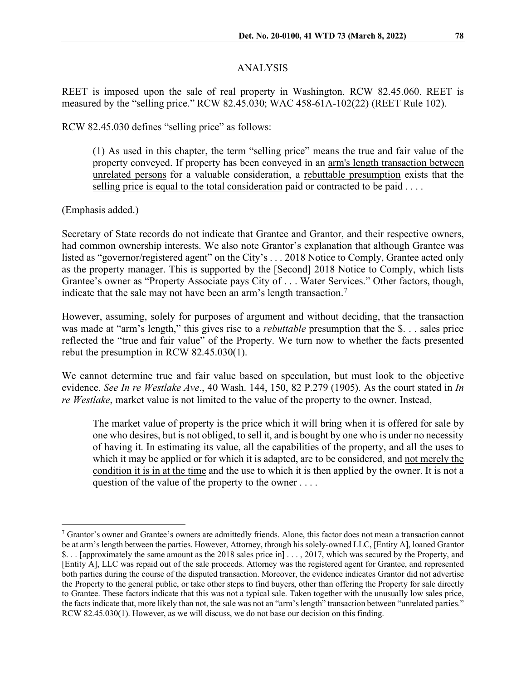#### ANALYSIS

REET is imposed upon the sale of real property in Washington. RCW 82.45.060. REET is measured by the "selling price." RCW 82.45.030; WAC 458-61A-102(22) (REET Rule 102).

RCW 82.45.030 defines "selling price" as follows:

(1) As used in this chapter, the term "selling price" means the true and fair value of the property conveyed. If property has been conveyed in an arm's length transaction between unrelated persons for a valuable consideration, a rebuttable presumption exists that the selling price is equal to the total consideration paid or contracted to be paid . . . .

(Emphasis added.)

Secretary of State records do not indicate that Grantee and Grantor, and their respective owners, had common ownership interests. We also note Grantor's explanation that although Grantee was listed as "governor/registered agent" on the City's . . . 2018 Notice to Comply, Grantee acted only as the property manager. This is supported by the [Second] 2018 Notice to Comply, which lists Grantee's owner as "Property Associate pays City of . . . Water Services." Other factors, though, indicate that the sale may not have been an arm's length transaction.<sup>[7](#page-5-0)</sup>

However, assuming, solely for purposes of argument and without deciding, that the transaction was made at "arm's length," this gives rise to a *rebuttable* presumption that the \$. . . sales price reflected the "true and fair value" of the Property. We turn now to whether the facts presented rebut the presumption in RCW 82.45.030(1).

We cannot determine true and fair value based on speculation, but must look to the objective evidence. *See In re Westlake Ave*., 40 Wash. 144, 150, 82 P.279 (1905). As the court stated in *In re Westlake*, market value is not limited to the value of the property to the owner. Instead,

The market value of property is the price which it will bring when it is offered for sale by one who desires, but is not obliged, to sell it, and is bought by one who is under no necessity of having it. In estimating its value, all the capabilities of the property, and all the uses to which it may be applied or for which it is adapted, are to be considered, and not merely the condition it is in at the time and the use to which it is then applied by the owner. It is not a question of the value of the property to the owner . . . .

<span id="page-5-0"></span><sup>7</sup> Grantor's owner and Grantee's owners are admittedly friends. Alone, this factor does not mean a transaction cannot be at arm's length between the parties. However, Attorney, through his solely-owned LLC, [Entity A], loaned Grantor \$. . . [approximately the same amount as the 2018 sales price in] . . . , 2017, which was secured by the Property, and [Entity A], LLC was repaid out of the sale proceeds. Attorney was the registered agent for Grantee, and represented both parties during the course of the disputed transaction. Moreover, the evidence indicates Grantor did not advertise the Property to the general public, or take other steps to find buyers, other than offering the Property for sale directly to Grantee. These factors indicate that this was not a typical sale. Taken together with the unusually low sales price, the factsindicate that, more likely than not, the sale was not an "arm's length" transaction between "unrelated parties." RCW 82.45.030(1). However, as we will discuss, we do not base our decision on this finding.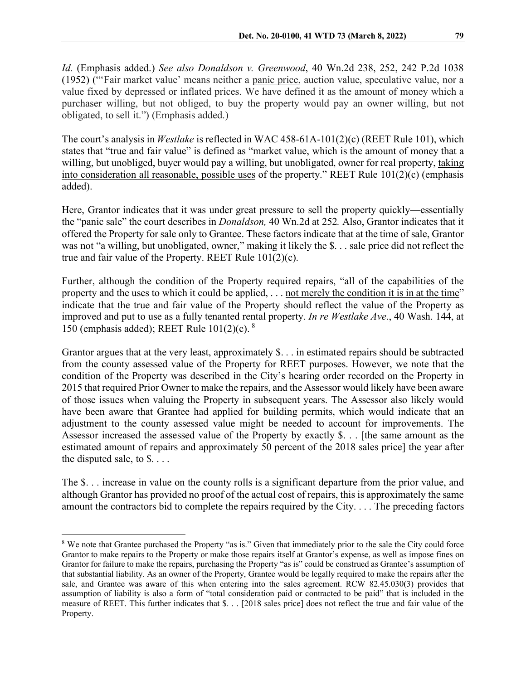*Id.* (Emphasis added.) *See also Donaldson v. Greenwood*, 40 Wn.2d 238, 252, 242 P.2d 1038 (1952) ("'Fair market value' means neither a panic price, auction value, speculative value, nor a value fixed by depressed or inflated prices. We have defined it as the amount of money which a purchaser willing, but not obliged, to buy the property would pay an owner willing, but not obligated, to sell it.") (Emphasis added.)

The court's analysis in *Westlake* is reflected in WAC 458-61A-101(2)(c) (REET Rule 101), which states that "true and fair value" is defined as "market value, which is the amount of money that a willing, but unobliged, buyer would pay a willing, but unobligated, owner for real property, taking into consideration all reasonable, possible uses of the property." REET Rule 101(2)(c) (emphasis added).

Here, Grantor indicates that it was under great pressure to sell the property quickly—essentially the "panic sale" the court describes in *Donaldson,* 40 Wn.2d at 252*.* Also, Grantor indicates that it offered the Property for sale only to Grantee. These factors indicate that at the time of sale, Grantor was not "a willing, but unobligated, owner," making it likely the \$. . . sale price did not reflect the true and fair value of the Property. REET Rule 101(2)(c).

Further, although the condition of the Property required repairs, "all of the capabilities of the property and the uses to which it could be applied, ... not merely the condition it is in at the time" indicate that the true and fair value of the Property should reflect the value of the Property as improved and put to use as a fully tenanted rental property. *In re Westlake Ave*., 40 Wash. 144, at 150 (emphasis added); REET Rule  $101(2)(c)$ . <sup>[8](#page-6-0)</sup>

Grantor argues that at the very least, approximately \$. . . in estimated repairs should be subtracted from the county assessed value of the Property for REET purposes. However, we note that the condition of the Property was described in the City's hearing order recorded on the Property in 2015 that required Prior Owner to make the repairs, and the Assessor would likely have been aware of those issues when valuing the Property in subsequent years. The Assessor also likely would have been aware that Grantee had applied for building permits, which would indicate that an adjustment to the county assessed value might be needed to account for improvements. The Assessor increased the assessed value of the Property by exactly \$. . . [the same amount as the estimated amount of repairs and approximately 50 percent of the 2018 sales price] the year after the disputed sale, to \$. . . .

The \$. . . increase in value on the county rolls is a significant departure from the prior value, and although Grantor has provided no proof of the actual cost of repairs, this is approximately the same amount the contractors bid to complete the repairs required by the City. . . . The preceding factors

<span id="page-6-0"></span><sup>8</sup> We note that Grantee purchased the Property "as is." Given that immediately prior to the sale the City could force Grantor to make repairs to the Property or make those repairs itself at Grantor's expense, as well as impose fines on Grantor for failure to make the repairs, purchasing the Property "as is" could be construed as Grantee's assumption of that substantial liability. As an owner of the Property, Grantee would be legally required to make the repairs after the sale, and Grantee was aware of this when entering into the sales agreement. RCW 82.45.030(3) provides that assumption of liability is also a form of "total consideration paid or contracted to be paid" that is included in the measure of REET. This further indicates that \$. . . [2018 sales price] does not reflect the true and fair value of the Property.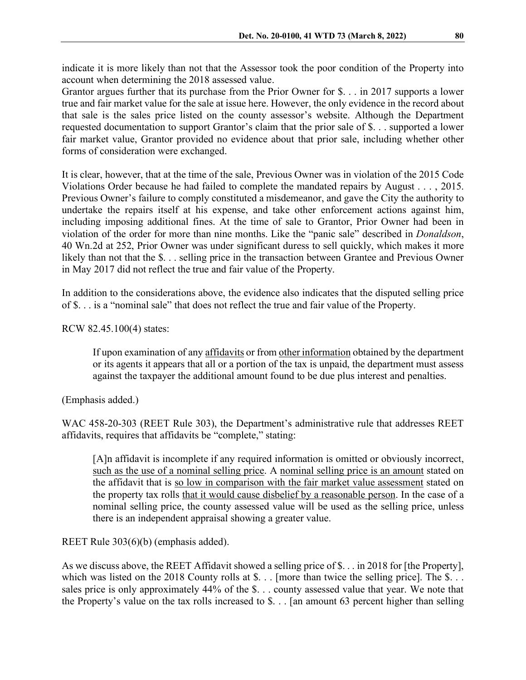indicate it is more likely than not that the Assessor took the poor condition of the Property into account when determining the 2018 assessed value.

Grantor argues further that its purchase from the Prior Owner for \$. . . in 2017 supports a lower true and fair market value for the sale at issue here. However, the only evidence in the record about that sale is the sales price listed on the county assessor's website. Although the Department requested documentation to support Grantor's claim that the prior sale of \$. . . supported a lower fair market value, Grantor provided no evidence about that prior sale, including whether other forms of consideration were exchanged.

It is clear, however, that at the time of the sale, Previous Owner was in violation of the 2015 Code Violations Order because he had failed to complete the mandated repairs by August . . . , 2015. Previous Owner's failure to comply constituted a misdemeanor, and gave the City the authority to undertake the repairs itself at his expense, and take other enforcement actions against him, including imposing additional fines. At the time of sale to Grantor, Prior Owner had been in violation of the order for more than nine months. Like the "panic sale" described in *Donaldson*, 40 Wn.2d at 252, Prior Owner was under significant duress to sell quickly, which makes it more likely than not that the \$... selling price in the transaction between Grantee and Previous Owner in May 2017 did not reflect the true and fair value of the Property.

In addition to the considerations above, the evidence also indicates that the disputed selling price of \$. . . is a "nominal sale" that does not reflect the true and fair value of the Property.

RCW 82.45.100(4) states:

If upon examination of any affidavits or from other information obtained by the department or its agents it appears that all or a portion of the tax is unpaid, the department must assess against the taxpayer the additional amount found to be due plus interest and penalties.

(Emphasis added.)

WAC 458-20-303 (REET Rule 303), the Department's administrative rule that addresses REET affidavits, requires that affidavits be "complete," stating:

[A]n affidavit is incomplete if any required information is omitted or obviously incorrect, such as the use of a nominal selling price. A nominal selling price is an amount stated on the affidavit that is so low in comparison with the fair market value assessment stated on the property tax rolls that it would cause disbelief by a reasonable person. In the case of a nominal selling price, the county assessed value will be used as the selling price, unless there is an independent appraisal showing a greater value.

REET Rule 303(6)(b) (emphasis added).

As we discuss above, the REET Affidavit showed a selling price of \$. . . in 2018 for [the Property], which was listed on the 2018 County rolls at \$. . . [more than twice the selling price]. The \$... sales price is only approximately 44% of the \$. . . county assessed value that year. We note that the Property's value on the tax rolls increased to \$. . . [an amount 63 percent higher than selling